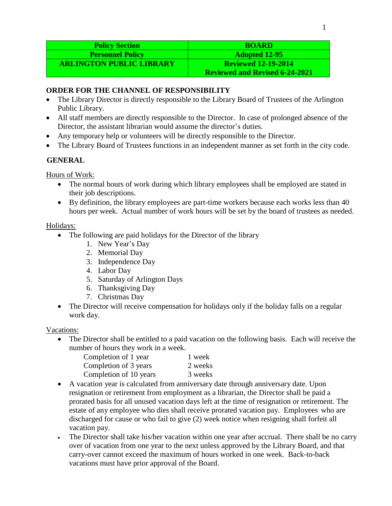| <b>Policy Section</b>           | <b>BOARD</b>                          |
|---------------------------------|---------------------------------------|
| <b>Personnel Policy</b>         | <b>Adopted 12-95</b>                  |
| <b>ARLINGTON PUBLIC LIBRARY</b> | <b>Reviewed 12-19-2014</b>            |
|                                 | <b>Reviewed and Revised 6-24-2021</b> |

## **ORDER FOR THE CHANNEL OF RESPONSIBILITY**

- The Library Director is directly responsible to the Library Board of Trustees of the Arlington Public Library.
- All staff members are directly responsible to the Director. In case of prolonged absence of the Director, the assistant librarian would assume the director's duties.
- Any temporary help or volunteers will be directly responsible to the Director.
- The Library Board of Trustees functions in an independent manner as set forth in the city code.

## **GENERAL**

Hours of Work:

- The normal hours of work during which library employees shall be employed are stated in their job descriptions.
- By definition, the library employees are part-time workers because each works less than 40 hours per week. Actual number of work hours will be set by the board of trustees as needed.

### Holidays:

- The following are paid holidays for the Director of the library
	- 1. New Year's Day
	- 2. Memorial Day
	- 3. Independence Day
	- 4. Labor Day
	- 5. Saturday of Arlington Days
	- 6. Thanksgiving Day
	- 7. Christmas Day
- The Director will receive compensation for holidays only if the holiday falls on a regular work day.

### Vacations:

• The Director shall be entitled to a paid vacation on the following basis. Each will receive the number of hours they work in a week.

| Completion of 1 year   | 1 week  |
|------------------------|---------|
| Completion of 3 years  | 2 weeks |
| Completion of 10 years | 3 weeks |

- A vacation year is calculated from anniversary date through anniversary date. Upon resignation or retirement from employment as a librarian, the Director shall be paid a prorated basis for all unused vacation days left at the time of resignation or retirement. The estate of any employee who dies shall receive prorated vacation pay. Employees who are discharged for cause or who fail to give (2) week notice when resigning shall forfeit all vacation pay.
- The Director shall take his/her vacation within one year after accrual. There shall be no carry over of vacation from one year to the next unless approved by the Library Board, and that carry-over cannot exceed the maximum of hours worked in one week. Back-to-back vacations must have prior approval of the Board.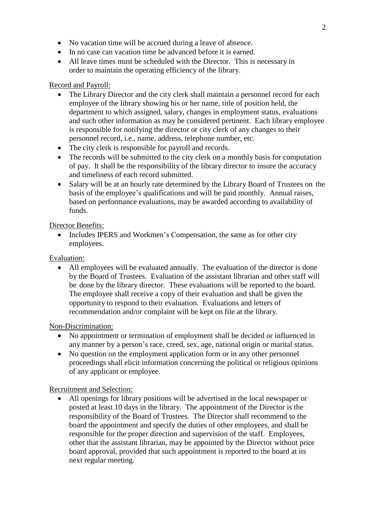- No vacation time will be accrued during a leave of absence.
- In no case can vacation time be advanced before it is earned.
- All leave times must be scheduled with the Director. This is necessary in order to maintain the operating efficiency of the library.

## Record and Payroll:

- The Library Director and the city clerk shall maintain a personnel record for each employee of the library showing his or her name, title of position held, the department to which assigned, salary, changes in employment status, evaluations and such other information as may be considered pertinent. Each library employee is responsible for notifying the director or city clerk of any changes to their personnel record, i.e., name, address, telephone number, etc.
- The city clerk is responsible for payroll and records.
- The records will be submitted to the city clerk on a monthly basis for computation of pay. It shall be the responsibility of the library director to insure the accuracy and timeliness of each record submitted.
- Salary will be at an hourly rate determined by the Library Board of Trustees on the basis of the employee's qualifications and will be paid monthly. Annual raises, based on performance evaluations, may be awarded according to availability of funds.

## Director Benefits:

 Includes IPERS and Workmen's Compensation, the same as for other city employees.

# Evaluation:

 All employees will be evaluated annually. The evaluation of the director is done by the Board of Trustees. Evaluation of the assistant librarian and other staff will be done by the library director. These evaluations will be reported to the board. The employee shall receive a copy of their evaluation and shall be given the opportunity to respond to their evaluation. Evaluations and letters of recommendation and/or complaint will be kept on file at the library.

### Non-Discrimination:

- No appointment or termination of employment shall be decided or influenced in any manner by a person's race, creed, sex, age, national origin or marital status.
- No question on the employment application form or in any other personnel proceedings shall elicit information concerning the political or religious opinions of any applicant or employee.

# Recruitment and Selection:

 All openings for library positions will be advertised in the local newspaper or posted at least 10 days in the library. The appointment of the Director is the responsibility of the Board of Trustees. The Director shall recommend to the board the appointment and specify the duties of other employees, and shall be responsible for the proper direction and supervision of the staff. Employees, other that the assistant librarian, may be appointed by the Director without prior board approval, provided that such appointment is reported to the board at its next regular meeting.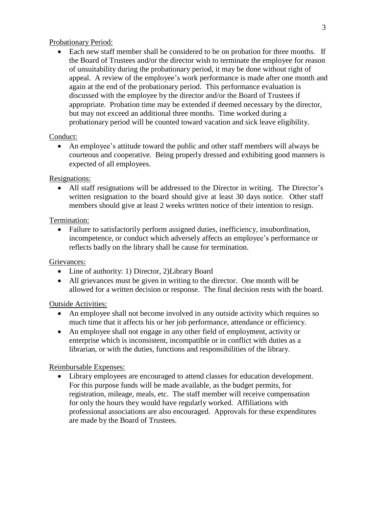## Probationary Period:

 Each new staff member shall be considered to be on probation for three months. If the Board of Trustees and/or the director wish to terminate the employee for reason of unsuitability during the probationary period, it may be done without right of appeal. A review of the employee's work performance is made after one month and again at the end of the probationary period. This performance evaluation is discussed with the employee by the director and/or the Board of Trustees if appropriate. Probation time may be extended if deemed necessary by the director, but may not exceed an additional three months. Time worked during a probationary period will be counted toward vacation and sick leave eligibility.

## Conduct:

 An employee's attitude toward the public and other staff members will always be courteous and cooperative. Being properly dressed and exhibiting good manners is expected of all employees.

# Resignations:

 All staff resignations will be addressed to the Director in writing. The Director's written resignation to the board should give at least 30 days notice. Other staff members should give at least 2 weeks written notice of their intention to resign.

## Termination:

• Failure to satisfactorily perform assigned duties, inefficiency, insubordination, incompetence, or conduct which adversely affects an employee's performance or reflects badly on the library shall be cause for termination.

### Grievances:

- Line of authority: 1) Director, 2) Library Board
- All grievances must be given in writing to the director. One month will be allowed for a written decision or response. The final decision rests with the board.

# Outside Activities:

- An employee shall not become involved in any outside activity which requires so much time that it affects his or her job performance, attendance or efficiency.
- An employee shall not engage in any other field of employment, activity or enterprise which is inconsistent, incompatible or in conflict with duties as a librarian, or with the duties, functions and responsibilities of the library.

# Reimbursable Expenses:

 Library employees are encouraged to attend classes for education development. For this purpose funds will be made available, as the budget permits, for registration, mileage, meals, etc. The staff member will receive compensation for only the hours they would have regularly worked. Affiliations with professional associations are also encouraged. Approvals for these expenditures are made by the Board of Trustees.